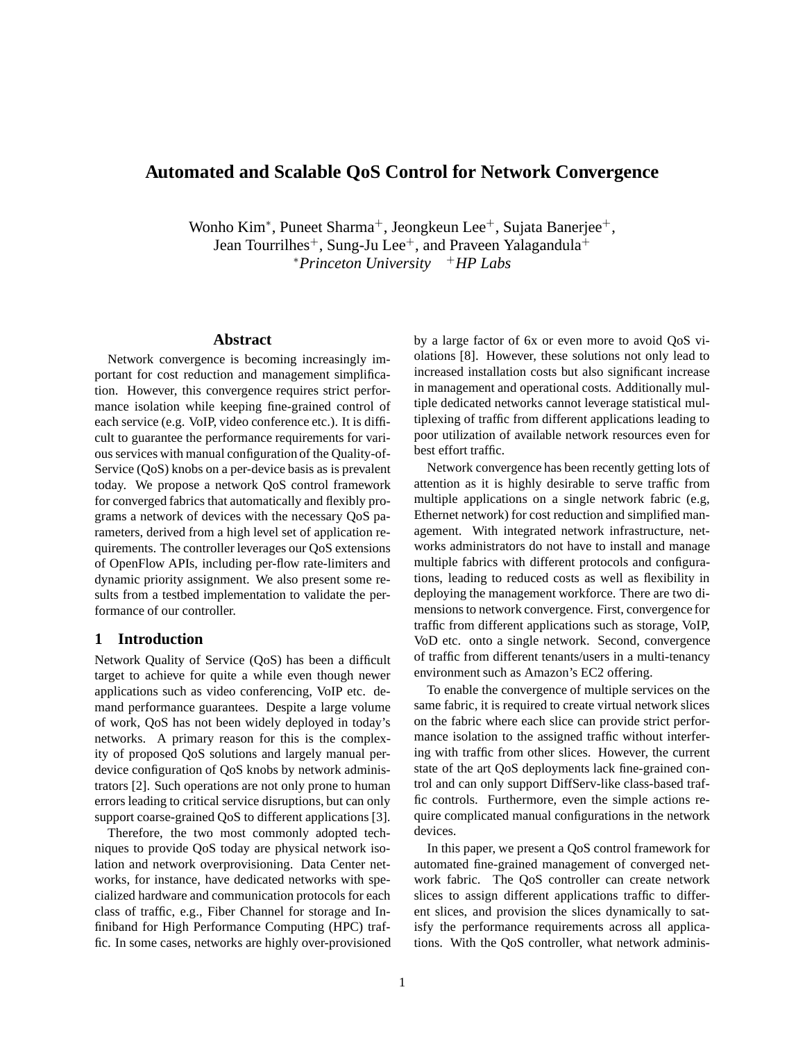# **Automated and Scalable QoS Control for Network Convergence**

Wonho Kim<sup>∗</sup>, Puneet Sharma<sup>+</sup>, Jeongkeun Lee<sup>+</sup>, Sujata Banerjee<sup>+</sup>, Jean Tourrilhes<sup>+</sup>, Sung-Ju Lee<sup>+</sup>, and Praveen Yalagandula<sup>+</sup> <sup>∗</sup>*Princeton University* <sup>+</sup>*HP Labs*

#### **Abstract**

Network convergence is becoming increasingly important for cost reduction and management simplification. However, this convergence requires strict performance isolation while keeping fine-grained control of each service (e.g. VoIP, video conference etc.). It is difficult to guarantee the performance requirements for various services with manual configuration of the Quality-of-Service (QoS) knobs on a per-device basis as is prevalent today. We propose a network QoS control framework for converged fabrics that automatically and flexibly programs a network of devices with the necessary QoS parameters, derived from a high level set of application requirements. The controller leverages our QoS extensions of OpenFlow APIs, including per-flow rate-limiters and dynamic priority assignment. We also present some results from a testbed implementation to validate the performance of our controller.

### **1 Introduction**

Network Quality of Service (QoS) has been a difficult target to achieve for quite a while even though newer applications such as video conferencing, VoIP etc. demand performance guarantees. Despite a large volume of work, QoS has not been widely deployed in today's networks. A primary reason for this is the complexity of proposed QoS solutions and largely manual perdevice configuration of QoS knobs by network administrators [2]. Such operations are not only prone to human errors leading to critical service disruptions, but can only support coarse-grained QoS to different applications [3].

Therefore, the two most commonly adopted techniques to provide QoS today are physical network isolation and network overprovisioning. Data Center networks, for instance, have dedicated networks with specialized hardware and communication protocols for each class of traffic, e.g., Fiber Channel for storage and Infiniband for High Performance Computing (HPC) traffic. In some cases, networks are highly over-provisioned by a large factor of 6x or even more to avoid QoS violations [8]. However, these solutions not only lead to increased installation costs but also significant increase in management and operational costs. Additionally multiple dedicated networks cannot leverage statistical multiplexing of traffic from different applications leading to poor utilization of available network resources even for best effort traffic.

Network convergence has been recently getting lots of attention as it is highly desirable to serve traffic from multiple applications on a single network fabric (e.g, Ethernet network) for cost reduction and simplified management. With integrated network infrastructure, networks administrators do not have to install and manage multiple fabrics with different protocols and configurations, leading to reduced costs as well as flexibility in deploying the management workforce. There are two dimensions to network convergence. First, convergence for traffic from different applications such as storage, VoIP, VoD etc. onto a single network. Second, convergence of traffic from different tenants/users in a multi-tenancy environment such as Amazon's EC2 offering.

To enable the convergence of multiple services on the same fabric, it is required to create virtual network slices on the fabric where each slice can provide strict performance isolation to the assigned traffic without interfering with traffic from other slices. However, the current state of the art QoS deployments lack fine-grained control and can only support DiffServ-like class-based traffic controls. Furthermore, even the simple actions require complicated manual configurations in the network devices.

In this paper, we present a QoS control framework for automated fine-grained management of converged network fabric. The QoS controller can create network slices to assign different applications traffic to different slices, and provision the slices dynamically to satisfy the performance requirements across all applications. With the QoS controller, what network adminis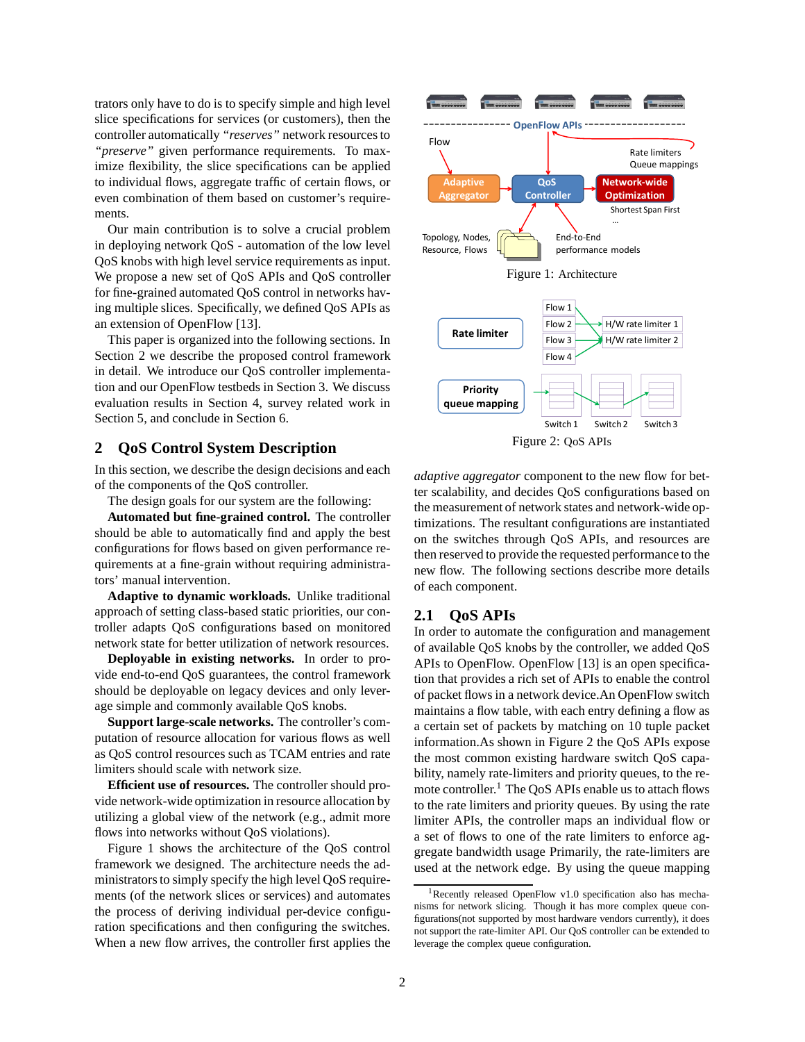trators only have to do is to specify simple and high level slice specifications for services (or customers), then the controller automatically *"reserves"* network resources to *"preserve"* given performance requirements. To maximize flexibility, the slice specifications can be applied to individual flows, aggregate traffic of certain flows, or even combination of them based on customer's requirements.

Our main contribution is to solve a crucial problem in deploying network QoS - automation of the low level QoS knobs with high level service requirements as input. We propose a new set of QoS APIs and QoS controller for fine-grained automated QoS control in networks having multiple slices. Specifically, we defined QoS APIs as an extension of OpenFlow [13].

This paper is organized into the following sections. In Section 2 we describe the proposed control framework in detail. We introduce our QoS controller implementation and our OpenFlow testbeds in Section 3. We discuss evaluation results in Section 4, survey related work in Section 5, and conclude in Section 6.

## **2 QoS Control System Description**

In this section, we describe the design decisions and each of the components of the QoS controller.

The design goals for our system are the following:

**Automated but fine-grained control.** The controller should be able to automatically find and apply the best configurations for flows based on given performance requirements at a fine-grain without requiring administrators' manual intervention.

**Adaptive to dynamic workloads.** Unlike traditional approach of setting class-based static priorities, our controller adapts QoS configurations based on monitored network state for better utilization of network resources.

**Deployable in existing networks.** In order to provide end-to-end QoS guarantees, the control framework should be deployable on legacy devices and only leverage simple and commonly available QoS knobs.

**Support large-scale networks.** The controller's computation of resource allocation for various flows as well as QoS control resources such as TCAM entries and rate limiters should scale with network size.

**Efficient use of resources.** The controller should provide network-wide optimization in resource allocation by utilizing a global view of the network (e.g., admit more flows into networks without QoS violations).

Figure 1 shows the architecture of the QoS control framework we designed. The architecture needs the administrators to simply specify the high level QoS requirements (of the network slices or services) and automates the process of deriving individual per-device configuration specifications and then configuring the switches. When a new flow arrives, the controller first applies the



*adaptive aggregator* component to the new flow for better scalability, and decides QoS configurations based on the measurement of network states and network-wide optimizations. The resultant configurations are instantiated on the switches through QoS APIs, and resources are then reserved to provide the requested performance to the new flow. The following sections describe more details of each component.

#### **2.1 QoS APIs**

In order to automate the configuration and management of available QoS knobs by the controller, we added QoS APIs to OpenFlow. OpenFlow [13] is an open specification that provides a rich set of APIs to enable the control of packet flows in a network device.An OpenFlow switch maintains a flow table, with each entry defining a flow as a certain set of packets by matching on 10 tuple packet information.As shown in Figure 2 the QoS APIs expose the most common existing hardware switch QoS capability, namely rate-limiters and priority queues, to the remote controller.<sup>1</sup> The QoS APIs enable us to attach flows to the rate limiters and priority queues. By using the rate limiter APIs, the controller maps an individual flow or a set of flows to one of the rate limiters to enforce aggregate bandwidth usage Primarily, the rate-limiters are used at the network edge. By using the queue mapping

<sup>1</sup>Recently released OpenFlow v1.0 specification also has mechanisms for network slicing. Though it has more complex queue configurations(not supported by most hardware vendors currently), it does not support the rate-limiter API. Our QoS controller can be extended to leverage the complex queue configuration.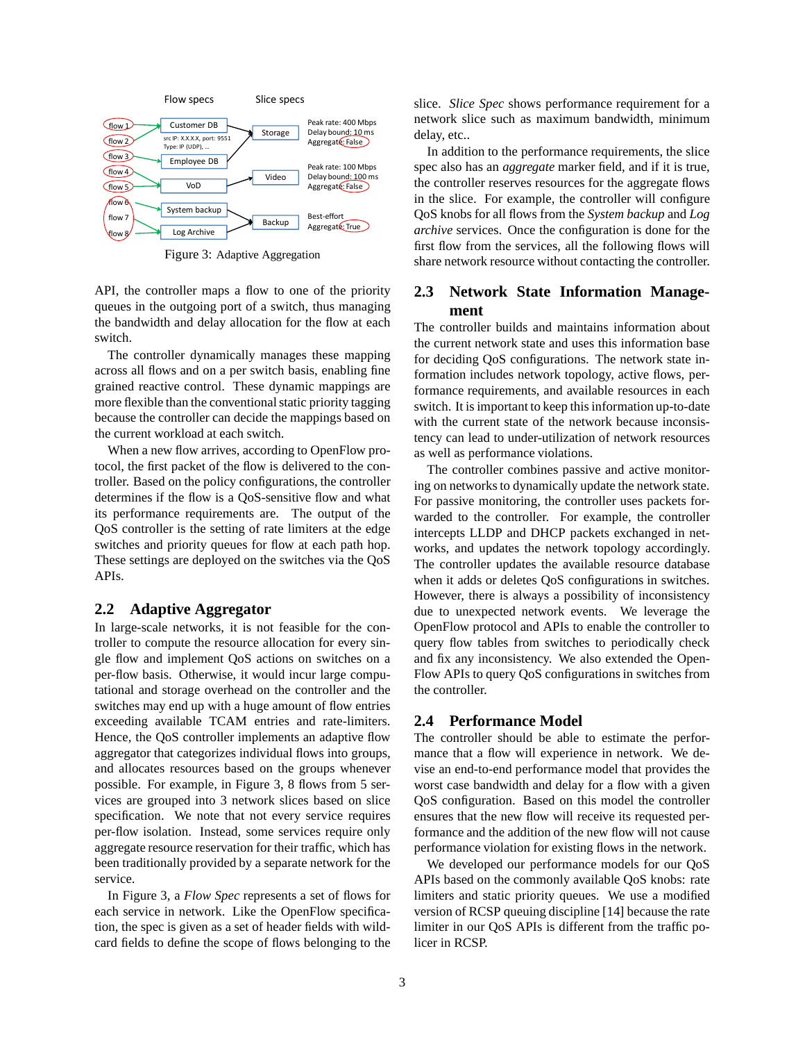

Figure 3: Adaptive Aggregation

API, the controller maps a flow to one of the priority queues in the outgoing port of a switch, thus managing the bandwidth and delay allocation for the flow at each switch.

The controller dynamically manages these mapping across all flows and on a per switch basis, enabling fine grained reactive control. These dynamic mappings are more flexible than the conventional static priority tagging because the controller can decide the mappings based on the current workload at each switch.

When a new flow arrives, according to OpenFlow protocol, the first packet of the flow is delivered to the controller. Based on the policy configurations, the controller determines if the flow is a QoS-sensitive flow and what its performance requirements are. The output of the QoS controller is the setting of rate limiters at the edge switches and priority queues for flow at each path hop. These settings are deployed on the switches via the QoS APIs.

## **2.2 Adaptive Aggregator**

In large-scale networks, it is not feasible for the controller to compute the resource allocation for every single flow and implement QoS actions on switches on a per-flow basis. Otherwise, it would incur large computational and storage overhead on the controller and the switches may end up with a huge amount of flow entries exceeding available TCAM entries and rate-limiters. Hence, the QoS controller implements an adaptive flow aggregator that categorizes individual flows into groups, and allocates resources based on the groups whenever possible. For example, in Figure 3, 8 flows from 5 services are grouped into 3 network slices based on slice specification. We note that not every service requires per-flow isolation. Instead, some services require only aggregate resource reservation for their traffic, which has been traditionally provided by a separate network for the service.

In Figure 3, a *Flow Spec* represents a set of flows for each service in network. Like the OpenFlow specification, the spec is given as a set of header fields with wildcard fields to define the scope of flows belonging to the slice. *Slice Spec* shows performance requirement for a network slice such as maximum bandwidth, minimum delay, etc..

In addition to the performance requirements, the slice spec also has an *aggregate* marker field, and if it is true, the controller reserves resources for the aggregate flows in the slice. For example, the controller will configure QoS knobs for all flows from the *System backup* and *Log archive* services. Once the configuration is done for the first flow from the services, all the following flows will share network resource without contacting the controller.

## **2.3 Network State Information Management**

The controller builds and maintains information about the current network state and uses this information base for deciding QoS configurations. The network state information includes network topology, active flows, performance requirements, and available resources in each switch. It is important to keep this information up-to-date with the current state of the network because inconsistency can lead to under-utilization of network resources as well as performance violations.

The controller combines passive and active monitoring on networks to dynamically update the network state. For passive monitoring, the controller uses packets forwarded to the controller. For example, the controller intercepts LLDP and DHCP packets exchanged in networks, and updates the network topology accordingly. The controller updates the available resource database when it adds or deletes QoS configurations in switches. However, there is always a possibility of inconsistency due to unexpected network events. We leverage the OpenFlow protocol and APIs to enable the controller to query flow tables from switches to periodically check and fix any inconsistency. We also extended the Open-Flow APIs to query QoS configurations in switches from the controller.

#### **2.4 Performance Model**

The controller should be able to estimate the performance that a flow will experience in network. We devise an end-to-end performance model that provides the worst case bandwidth and delay for a flow with a given QoS configuration. Based on this model the controller ensures that the new flow will receive its requested performance and the addition of the new flow will not cause performance violation for existing flows in the network.

We developed our performance models for our QoS APIs based on the commonly available QoS knobs: rate limiters and static priority queues. We use a modified version of RCSP queuing discipline [14] because the rate limiter in our QoS APIs is different from the traffic policer in RCSP.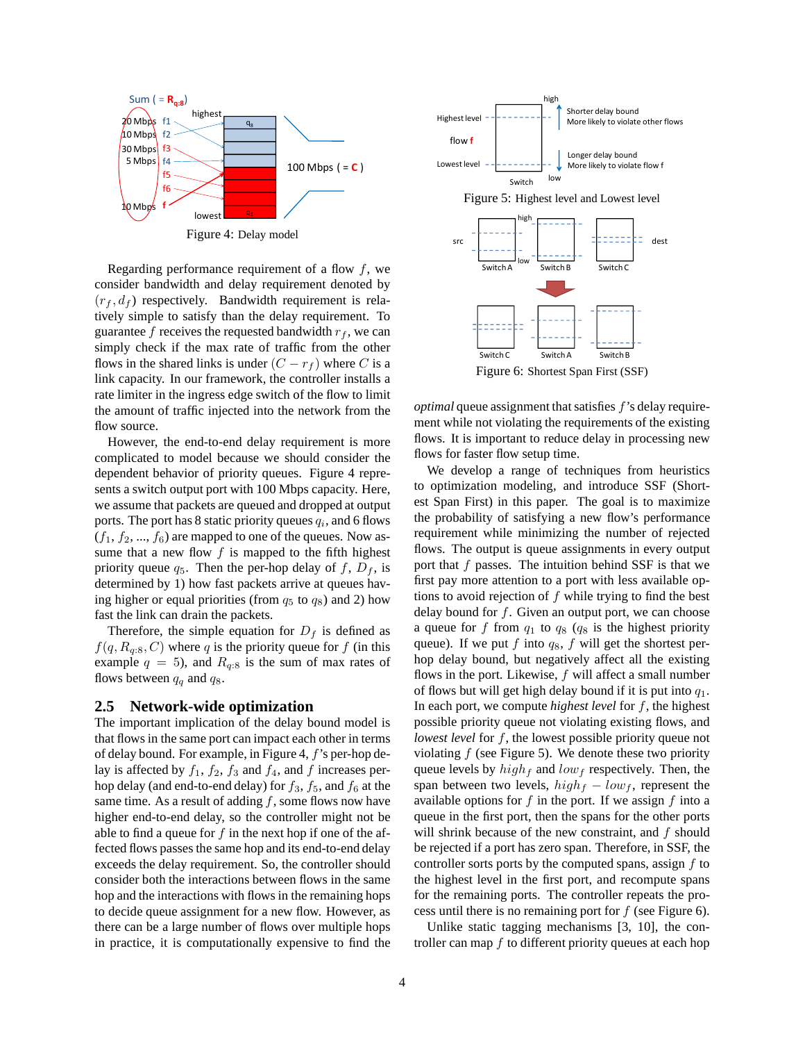

Figure 4: Delay model

Regarding performance requirement of a flow  $f$ , we consider bandwidth and delay requirement denoted by  $(r_f, d_f)$  respectively. Bandwidth requirement is relatively simple to satisfy than the delay requirement. To guarantee f receives the requested bandwidth  $r_f$ , we can simply check if the max rate of traffic from the other flows in the shared links is under  $(C - r_f)$  where C is a link capacity. In our framework, the controller installs a rate limiter in the ingress edge switch of the flow to limit the amount of traffic injected into the network from the flow source.

However, the end-to-end delay requirement is more complicated to model because we should consider the dependent behavior of priority queues. Figure 4 represents a switch output port with 100 Mbps capacity. Here, we assume that packets are queued and dropped at output ports. The port has 8 static priority queues  $q_i$ , and 6 flows  $(f_1, f_2, ..., f_6)$  are mapped to one of the queues. Now assume that a new flow  $f$  is mapped to the fifth highest priority queue  $q_5$ . Then the per-hop delay of f,  $D_f$ , is determined by 1) how fast packets arrive at queues having higher or equal priorities (from  $q_5$  to  $q_8$ ) and 2) how fast the link can drain the packets.

Therefore, the simple equation for  $D_f$  is defined as  $f(q, R_{q:8}, C)$  where q is the priority queue for f (in this example  $q = 5$ ), and  $R_{q:8}$  is the sum of max rates of flows between  $q_q$  and  $q_8$ .

#### **2.5 Network-wide optimization**

The important implication of the delay bound model is that flows in the same port can impact each other in terms of delay bound. For example, in Figure 4, f's per-hop delay is affected by  $f_1$ ,  $f_2$ ,  $f_3$  and  $f_4$ , and  $f$  increases perhop delay (and end-to-end delay) for  $f_3$ ,  $f_5$ , and  $f_6$  at the same time. As a result of adding  $f$ , some flows now have higher end-to-end delay, so the controller might not be able to find a queue for  $f$  in the next hop if one of the affected flows passes the same hop and its end-to-end delay exceeds the delay requirement. So, the controller should consider both the interactions between flows in the same hop and the interactions with flows in the remaining hops to decide queue assignment for a new flow. However, as there can be a large number of flows over multiple hops in practice, it is computationally expensive to find the



Figure 6: Shortest Span First (SSF)

*optimal* queue assignment that satisfies f's delay requirement while not violating the requirements of the existing flows. It is important to reduce delay in processing new flows for faster flow setup time.

We develop a range of techniques from heuristics to optimization modeling, and introduce SSF (Shortest Span First) in this paper. The goal is to maximize the probability of satisfying a new flow's performance requirement while minimizing the number of rejected flows. The output is queue assignments in every output port that  $f$  passes. The intuition behind SSF is that we first pay more attention to a port with less available options to avoid rejection of  $f$  while trying to find the best delay bound for  $f$ . Given an output port, we can choose a queue for f from  $q_1$  to  $q_8$  ( $q_8$  is the highest priority queue). If we put f into  $q_8$ , f will get the shortest perhop delay bound, but negatively affect all the existing flows in the port. Likewise,  $f$  will affect a small number of flows but will get high delay bound if it is put into  $q_1$ . In each port, we compute *highest level* for f, the highest possible priority queue not violating existing flows, and *lowest level* for f, the lowest possible priority queue not violating  $f$  (see Figure 5). We denote these two priority queue levels by  $high_f$  and  $low_f$  respectively. Then, the span between two levels,  $high_f - low_f$ , represent the available options for  $f$  in the port. If we assign  $f$  into a queue in the first port, then the spans for the other ports will shrink because of the new constraint, and  $f$  should be rejected if a port has zero span. Therefore, in SSF, the controller sorts ports by the computed spans, assign  $f$  to the highest level in the first port, and recompute spans for the remaining ports. The controller repeats the process until there is no remaining port for  $f$  (see Figure 6).

Unlike static tagging mechanisms [3, 10], the controller can map f to different priority queues at each hop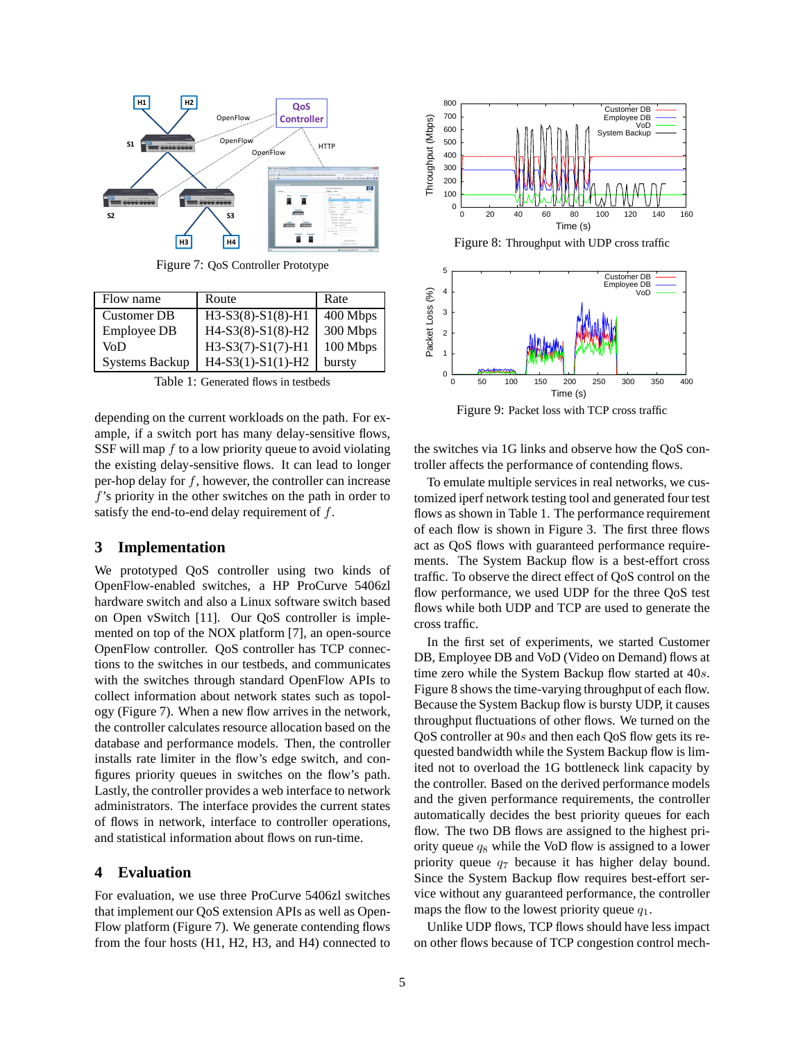

Figure 7: QoS Controller Prototype

| Flow name             | Route               | Rate     |
|-----------------------|---------------------|----------|
| <b>Customer DB</b>    | $H3-S3(8)-S1(8)-H1$ | 400 Mbps |
| Employee DB           | $H4-S3(8)-S1(8)-H2$ | 300 Mbps |
| VoD                   | $H3-S3(7)-S1(7)-H1$ | 100 Mbps |
| <b>Systems Backup</b> | $H4-S3(1)-S1(1)-H2$ | bursty   |

Table 1: Generated flows in testbeds

depending on the current workloads on the path. For example, if a switch port has many delay-sensitive flows, SSF will map  $f$  to a low priority queue to avoid violating the existing delay-sensitive flows. It can lead to longer per-hop delay for  $f$ , however, the controller can increase  $f$ 's priority in the other switches on the path in order to satisfy the end-to-end delay requirement of  $f$ .

#### **3 Implementation**

We prototyped QoS controller using two kinds of OpenFlow-enabled switches, a HP ProCurve 5406zl hardware switch and also a Linux software switch based on Open vSwitch [11]. Our QoS controller is implemented on top of the NOX platform [7], an open-source OpenFlow controller. QoS controller has TCP connections to the switches in our testbeds, and communicates with the switches through standard OpenFlow APIs to collect information about network states such as topology (Figure 7). When a new flow arrives in the network, the controller calculates resource allocation based on the database and performance models. Then, the controller installs rate limiter in the flow's edge switch, and configures priority queues in switches on the flow's path. Lastly, the controller provides a web interface to network administrators. The interface provides the current states of flows in network, interface to controller operations, and statistical information about flows on run-time.

#### **4 Evaluation**

For evaluation, we use three ProCurve 5406zl switches that implement our QoS extension APIs as well as Open-Flow platform (Figure 7). We generate contending flows from the four hosts (H1, H2, H3, and H4) connected to





Figure 9: Packet loss with TCP cross traffic

the switches via 1G links and observe how the QoS controller affects the performance of contending flows.

To emulate multiple services in real networks, we customized iperf network testing tool and generated four test flows as shown in Table 1. The performance requirement of each flow is shown in Figure 3. The first three flows act as QoS flows with guaranteed performance requirements. The System Backup flow is a best-effort cross traffic. To observe the direct effect of QoS control on the flow performance, we used UDP for the three QoS test flows while both UDP and TCP are used to generate the cross traffic.

In the first set of experiments, we started Customer DB, Employee DB and VoD (Video on Demand) flows at time zero while the System Backup flow started at 40s. Figure 8 shows the time-varying throughput of each flow. Because the System Backup flow is bursty UDP, it causes throughput fluctuations of other flows. We turned on the QoS controller at 90s and then each QoS flow gets its requested bandwidth while the System Backup flow is limited not to overload the 1G bottleneck link capacity by the controller. Based on the derived performance models and the given performance requirements, the controller automatically decides the best priority queues for each flow. The two DB flows are assigned to the highest priority queue  $q_8$  while the VoD flow is assigned to a lower priority queue  $q_7$  because it has higher delay bound. Since the System Backup flow requires best-effort service without any guaranteed performance, the controller maps the flow to the lowest priority queue  $q_1$ .

Unlike UDP flows, TCP flows should have less impact on other flows because of TCP congestion control mech